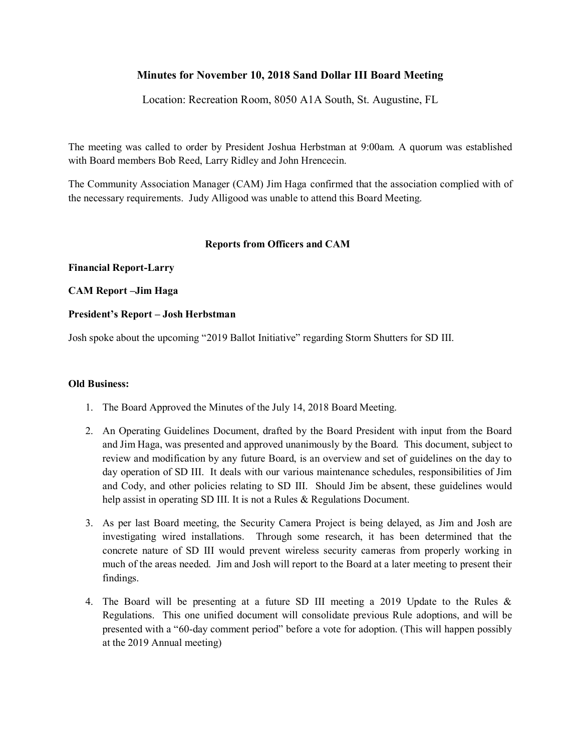# **Minutes for November 10, 2018 Sand Dollar III Board Meeting**

Location: Recreation Room, 8050 A1A South, St. Augustine, FL

The meeting was called to order by President Joshua Herbstman at 9:00am. A quorum was established with Board members Bob Reed, Larry Ridley and John Hrencecin.

The Community Association Manager (CAM) Jim Haga confirmed that the association complied with of the necessary requirements. Judy Alligood was unable to attend this Board Meeting.

### **Reports from Officers and CAM**

### **Financial Report-Larry**

## **CAM Report –Jim Haga**

## **President's Report – Josh Herbstman**

Josh spoke about the upcoming "2019 Ballot Initiative" regarding Storm Shutters for SD III.

### **Old Business:**

- 1. The Board Approved the Minutes of the July 14, 2018 Board Meeting.
- 2. An Operating Guidelines Document, drafted by the Board President with input from the Board and Jim Haga, was presented and approved unanimously by the Board. This document, subject to review and modification by any future Board, is an overview and set of guidelines on the day to day operation of SD III. It deals with our various maintenance schedules, responsibilities of Jim and Cody, and other policies relating to SD III. Should Jim be absent, these guidelines would help assist in operating SD III. It is not a Rules & Regulations Document.
- 3. As per last Board meeting, the Security Camera Project is being delayed, as Jim and Josh are investigating wired installations. Through some research, it has been determined that the concrete nature of SD III would prevent wireless security cameras from properly working in much of the areas needed. Jim and Josh will report to the Board at a later meeting to present their findings.
- 4. The Board will be presenting at a future SD III meeting a 2019 Update to the Rules & Regulations. This one unified document will consolidate previous Rule adoptions, and will be presented with a "60-day comment period" before a vote for adoption. (This will happen possibly at the 2019 Annual meeting)